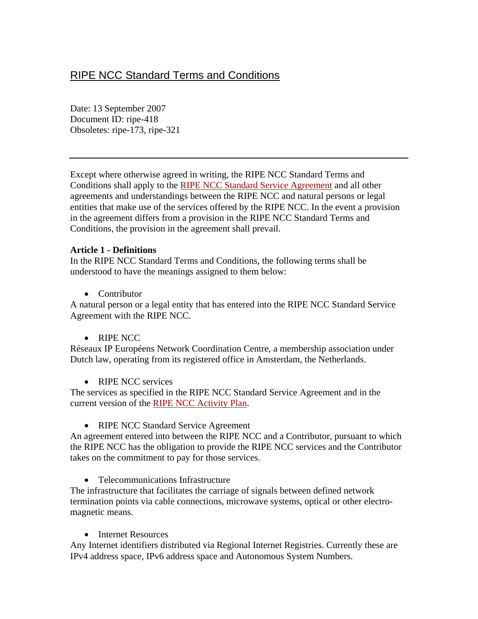# RIPE NCC Standard Terms and Conditions

Date: 13 September 2007 Document ID: ripe-418 Obsoletes: ripe-173, ripe-321

Except where otherwise agreed in writing, the RIPE NCC Standard Terms and Conditions shall apply to the [RIPE NCC Standard Service Agreement](http://www.ripe.net/ripe/docs/service-agreement.html) and all other agreements and understandings between the RIPE NCC and natural persons or legal entities that make use of the services offered by the RIPE NCC. In the event a provision in the agreement differs from a provision in the RIPE NCC Standard Terms and Conditions, the provision in the agreement shall prevail.

#### **Article 1 - Definitions**

In the RIPE NCC Standard Terms and Conditions, the following terms shall be understood to have the meanings assigned to them below:

• Contributor

A natural person or a legal entity that has entered into the RIPE NCC Standard Service Agreement with the RIPE NCC.

• RIPE NCC

Réseaux IP Européens Network Coordination Centre, a membership association under Dutch law, operating from its registered office in Amsterdam, the Netherlands.

• RIPE NCC services

The services as specified in the RIPE NCC Standard Service Agreement and in the current version of the [RIPE NCC Activity Plan](http://www.ripe.net/ripe/docs/ap2004.html).

• RIPE NCC Standard Service Agreement

An agreement entered into between the RIPE NCC and a Contributor, pursuant to which the RIPE NCC has the obligation to provide the RIPE NCC services and the Contributor takes on the commitment to pay for those services.

• Telecommunications Infrastructure

The infrastructure that facilitates the carriage of signals between defined network termination points via cable connections, microwave systems, optical or other electromagnetic means.

• Internet Resources

Any Internet identifiers distributed via Regional Internet Registries. Currently these are IPv4 address space, IPv6 address space and Autonomous System Numbers.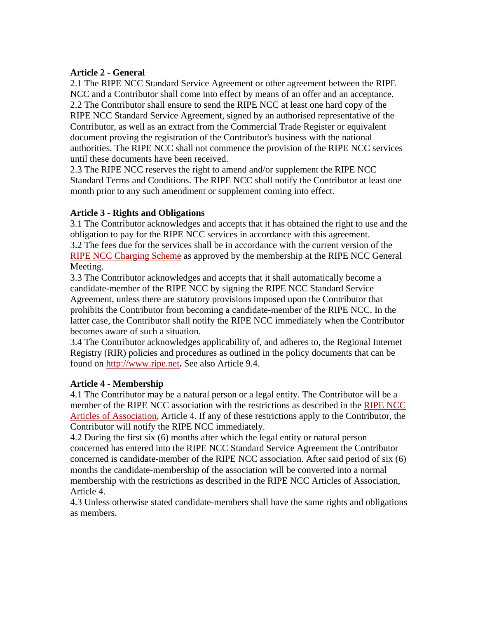#### **Article 2 - General**

2.1 The RIPE NCC Standard Service Agreement or other agreement between the RIPE NCC and a Contributor shall come into effect by means of an offer and an acceptance. 2.2 The Contributor shall ensure to send the RIPE NCC at least one hard copy of the RIPE NCC Standard Service Agreement, signed by an authorised representative of the Contributor, as well as an extract from the Commercial Trade Register or equivalent document proving the registration of the Contributor's business with the national authorities. The RIPE NCC shall not commence the provision of the RIPE NCC services until these documents have been received.

2.3 The RIPE NCC reserves the right to amend and/or supplement the RIPE NCC Standard Terms and Conditions. The RIPE NCC shall notify the Contributor at least one month prior to any such amendment or supplement coming into effect.

## **Article 3 - Rights and Obligations**

3.1 The Contributor acknowledges and accepts that it has obtained the right to use and the obligation to pay for the RIPE NCC services in accordance with this agreement. 3.2 The fees due for the services shall be in accordance with the current version of the [RIPE NCC Charging Scheme](http://www.ripe.net/ripe/docs/charging2004.html) as approved by the membership at the RIPE NCC General Meeting.

3.3 The Contributor acknowledges and accepts that it shall automatically become a candidate-member of the RIPE NCC by signing the RIPE NCC Standard Service Agreement, unless there are statutory provisions imposed upon the Contributor that prohibits the Contributor from becoming a candidate-member of the RIPE NCC. In the latter case, the Contributor shall notify the RIPE NCC immediately when the Contributor becomes aware of such a situation.

3.4 The Contributor acknowledges applicability of, and adheres to, the Regional Internet Registry (RIR) policies and procedures as outlined in the policy documents that can be found on [http://www.ripe.net](http://www.ripe.net/)**.** See also Article 9.4.

## **Article 4 - Membership**

4.1 The Contributor may be a natural person or a legal entity. The Contributor will be a member of the RIPE NCC association with the restrictions as described in the [RIPE NCC](http://www.ripe.net/ripe/docs/articles-association.html)  [Articles of Association,](http://www.ripe.net/ripe/docs/articles-association.html) Article 4. If any of these restrictions apply to the Contributor, the Contributor will notify the RIPE NCC immediately.

4.2 During the first six (6) months after which the legal entity or natural person concerned has entered into the RIPE NCC Standard Service Agreement the Contributor concerned is candidate-member of the RIPE NCC association. After said period of six (6) months the candidate-membership of the association will be converted into a normal membership with the restrictions as described in the RIPE NCC Articles of Association, Article 4.

4.3 Unless otherwise stated candidate-members shall have the same rights and obligations as members.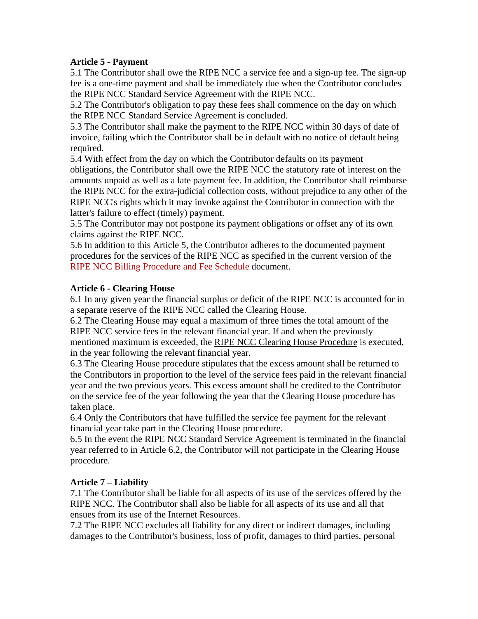### **Article 5 - Payment**

5.1 The Contributor shall owe the RIPE NCC a service fee and a sign-up fee. The sign-up fee is a one-time payment and shall be immediately due when the Contributor concludes the RIPE NCC Standard Service Agreement with the RIPE NCC.

5.2 The Contributor's obligation to pay these fees shall commence on the day on which the RIPE NCC Standard Service Agreement is concluded.

5.3 The Contributor shall make the payment to the RIPE NCC within 30 days of date of invoice, failing which the Contributor shall be in default with no notice of default being required.

5.4 With effect from the day on which the Contributor defaults on its payment obligations, the Contributor shall owe the RIPE NCC the statutory rate of interest on the amounts unpaid as well as a late payment fee. In addition, the Contributor shall reimburse the RIPE NCC for the extra-judicial collection costs, without prejudice to any other of the RIPE NCC's rights which it may invoke against the Contributor in connection with the latter's failure to effect (timely) payment.

5.5 The Contributor may not postpone its payment obligations or offset any of its own claims against the RIPE NCC.

5.6 In addition to this Article 5, the Contributor adheres to the documented payment procedures for the services of the RIPE NCC as specified in the current version of the [RIPE NCC Billing Procedure and Fee Schedule](http://www.ripe.net/ripe/docs/billing.html) document.

#### **Article 6 - Clearing House**

6.1 In any given year the financial surplus or deficit of the RIPE NCC is accounted for in a separate reserve of the RIPE NCC called the Clearing House.

6.2 The Clearing House may equal a maximum of three times the total amount of the RIPE NCC service fees in the relevant financial year. If and when the previously mentioned maximum is exceeded, the RIPE NCC Clearing House Procedure is executed, in the year following the relevant financial year.

6.3 The Clearing House procedure stipulates that the excess amount shall be returned to the Contributors in proportion to the level of the service fees paid in the relevant financial year and the two previous years. This excess amount shall be credited to the Contributor on the service fee of the year following the year that the Clearing House procedure has taken place.

6.4 Only the Contributors that have fulfilled the service fee payment for the relevant financial year take part in the Clearing House procedure.

6.5 In the event the RIPE NCC Standard Service Agreement is terminated in the financial year referred to in Article 6.2, the Contributor will not participate in the Clearing House procedure.

## **Article 7 – Liability**

7.1 The Contributor shall be liable for all aspects of its use of the services offered by the RIPE NCC. The Contributor shall also be liable for all aspects of its use and all that ensues from its use of the Internet Resources.

7.2 The RIPE NCC excludes all liability for any direct or indirect damages, including damages to the Contributor's business, loss of profit, damages to third parties, personal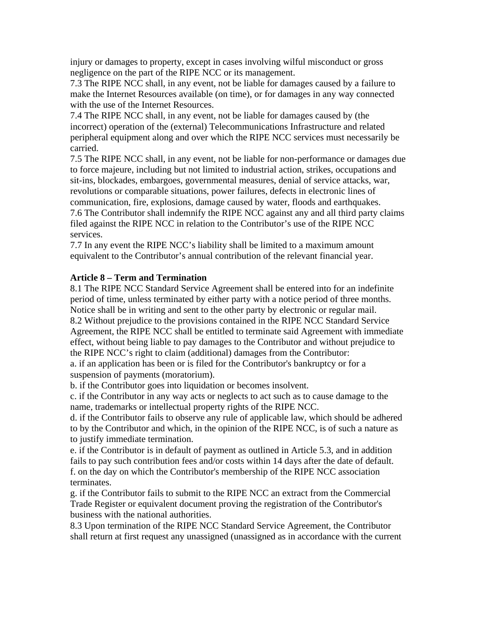injury or damages to property, except in cases involving wilful misconduct or gross negligence on the part of the RIPE NCC or its management.

7.3 The RIPE NCC shall, in any event, not be liable for damages caused by a failure to make the Internet Resources available (on time), or for damages in any way connected with the use of the Internet Resources.

7.4 The RIPE NCC shall, in any event, not be liable for damages caused by (the incorrect) operation of the (external) Telecommunications Infrastructure and related peripheral equipment along and over which the RIPE NCC services must necessarily be carried.

7.5 The RIPE NCC shall, in any event, not be liable for non-performance or damages due to force majeure, including but not limited to industrial action, strikes, occupations and sit-ins, blockades, embargoes, governmental measures, denial of service attacks, war, revolutions or comparable situations, power failures, defects in electronic lines of communication, fire, explosions, damage caused by water, floods and earthquakes. 7.6 The Contributor shall indemnify the RIPE NCC against any and all third party claims filed against the RIPE NCC in relation to the Contributor's use of the RIPE NCC services.

7.7 In any event the RIPE NCC's liability shall be limited to a maximum amount equivalent to the Contributor's annual contribution of the relevant financial year.

## **Article 8 – Term and Termination**

8.1 The RIPE NCC Standard Service Agreement shall be entered into for an indefinite period of time, unless terminated by either party with a notice period of three months. Notice shall be in writing and sent to the other party by electronic or regular mail. 8.2 Without prejudice to the provisions contained in the RIPE NCC Standard Service Agreement, the RIPE NCC shall be entitled to terminate said Agreement with immediate effect, without being liable to pay damages to the Contributor and without prejudice to the RIPE NCC's right to claim (additional) damages from the Contributor:

a. if an application has been or is filed for the Contributor's bankruptcy or for a suspension of payments (moratorium).

b. if the Contributor goes into liquidation or becomes insolvent.

c. if the Contributor in any way acts or neglects to act such as to cause damage to the name, trademarks or intellectual property rights of the RIPE NCC.

d. if the Contributor fails to observe any rule of applicable law, which should be adhered to by the Contributor and which, in the opinion of the RIPE NCC, is of such a nature as to justify immediate termination.

e. if the Contributor is in default of payment as outlined in Article 5.3, and in addition fails to pay such contribution fees and/or costs within 14 days after the date of default. f. on the day on which the Contributor's membership of the RIPE NCC association terminates.

g. if the Contributor fails to submit to the RIPE NCC an extract from the Commercial Trade Register or equivalent document proving the registration of the Contributor's business with the national authorities.

8.3 Upon termination of the RIPE NCC Standard Service Agreement, the Contributor shall return at first request any unassigned (unassigned as in accordance with the current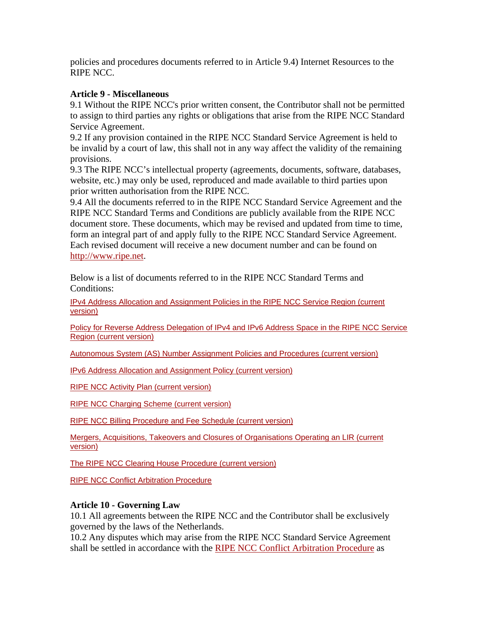policies and procedures documents referred to in Article 9.4) Internet Resources to the RIPE NCC.

### **Article 9 - Miscellaneous**

9.1 Without the RIPE NCC's prior written consent, the Contributor shall not be permitted to assign to third parties any rights or obligations that arise from the RIPE NCC Standard Service Agreement.

9.2 If any provision contained in the RIPE NCC Standard Service Agreement is held to be invalid by a court of law, this shall not in any way affect the validity of the remaining provisions.

9.3 The RIPE NCC's intellectual property (agreements, documents, software, databases, website, etc.) may only be used, reproduced and made available to third parties upon prior written authorisation from the RIPE NCC.

9.4 All the documents referred to in the RIPE NCC Standard Service Agreement and the RIPE NCC Standard Terms and Conditions are publicly available from the RIPE NCC document store. These documents, which may be revised and updated from time to time, form an integral part of and apply fully to the RIPE NCC Standard Service Agreement. Each revised document will receive a new document number and can be found on [http://www.ripe.net.](http://www.ripe.net/)

Below is a list of documents referred to in the RIPE NCC Standard Terms and Conditions:

[IPv4 Address Allocation and Assignment Policies in the RIPE NCC Service Region \(current](http://www.ripe.net/ripe/docs/ipv4-policies.html)  [version\)](http://www.ripe.net/ripe/docs/ipv4-policies.html) 

[Policy for Reverse Address Delegation of IPv4 and IPv6 Address Space in the RIPE NCC Service](http://www.ripe.net/ripe/docs/rev-del.html)  [Region \(current version\)](http://www.ripe.net/ripe/docs/rev-del.html)

[Autonomous System \(AS\) Number Assignment Policies and Procedures \(current version\)](http://www.ripe.net/ripe/docs/asn-assignment.html) 

[IPv6 Address Allocation and Assignment Policy \(current version\)](http://www.ripe.net/ripe/docs/ipv6policy.html)

[RIPE NCC Activity Plan \(current version\)](http://www.ripe.net/ripe/docs/ap.html)

[RIPE NCC Charging Scheme \(current version\)](http://www.ripe.net/ripe/docs/charging2004.html)

[RIPE NCC Billing Procedure and Fee Schedule \(current version\)](http://www.ripe.net/ripe/docs/billing.html) 

[Mergers, Acquisitions, Takeovers and Closures of Organisations Operating an LIR \(current](http://www.ripe.net/ripe/docs/mergers.html)  [version\)](http://www.ripe.net/ripe/docs/mergers.html)

[The RIPE NCC Clearing House Procedure](http://www.ripe.net/ripe/docs/clearinghouse.html) (current version)

[RIPE NCC Conflict Arbitration Procedure](http://www.ripe.net/ripe/docs/ripe-174.html)

#### **Article 10 - Governing Law**

10.1 All agreements between the RIPE NCC and the Contributor shall be exclusively governed by the laws of the Netherlands.

10.2 Any disputes which may arise from the RIPE NCC Standard Service Agreement shall be settled in accordance with the [RIPE NCC Conflict Arbitration Procedure](http://www.ripe.net/ripe/docs/ripe-174.html) as